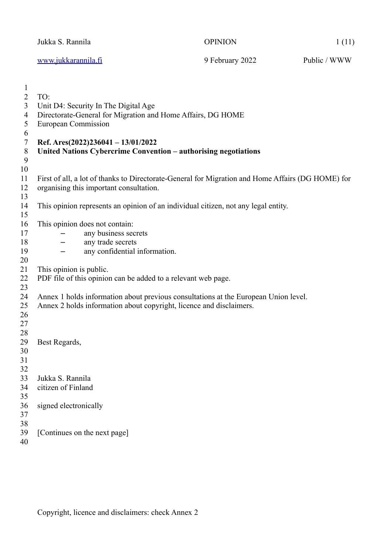|                                                                           | Jukka S. Rannila                       |                                                                                                                                                                                                                                                      | <b>OPINION</b>                                                                                    | 1(11)        |
|---------------------------------------------------------------------------|----------------------------------------|------------------------------------------------------------------------------------------------------------------------------------------------------------------------------------------------------------------------------------------------------|---------------------------------------------------------------------------------------------------|--------------|
|                                                                           | www.jukkarannila.fi                    |                                                                                                                                                                                                                                                      | 9 February 2022                                                                                   | Public / WWW |
| 1<br>$\overline{2}$<br>3<br>$\overline{4}$<br>5<br>6<br>7<br>8<br>9<br>10 | TO:<br>European Commission             | Unit D4: Security In The Digital Age<br>Directorate-General for Migration and Home Affairs, DG HOME<br>Ref. Ares(2022)236041 - $13/01/2022$<br>United Nations Cybercrime Convention - authorising negotiations                                       |                                                                                                   |              |
| 11<br>12<br>13                                                            |                                        | organising this important consultation.                                                                                                                                                                                                              | First of all, a lot of thanks to Directorate-General for Migration and Home Affairs (DG HOME) for |              |
| 14<br>15                                                                  |                                        |                                                                                                                                                                                                                                                      | This opinion represents an opinion of an individual citizen, not any legal entity.                |              |
| 16<br>17<br>18<br>19<br>20<br>21<br>22<br>23<br>24<br>25                  | This opinion is public.                | This opinion does not contain:<br>any business secrets<br>any trade secrets<br>any confidential information.<br>PDF file of this opinion can be added to a relevant web page.<br>Annex 2 holds information about copyright, licence and disclaimers. | Annex 1 holds information about previous consultations at the European Union level.               |              |
| 26<br>27<br>28<br>29<br>30<br>31<br>32                                    | Best Regards,                          |                                                                                                                                                                                                                                                      |                                                                                                   |              |
| 33<br>34<br>35                                                            | Jukka S. Rannila<br>citizen of Finland |                                                                                                                                                                                                                                                      |                                                                                                   |              |
| 36<br>37<br>38                                                            | signed electronically                  |                                                                                                                                                                                                                                                      |                                                                                                   |              |
| 39<br>40                                                                  |                                        | [Continues on the next page]                                                                                                                                                                                                                         |                                                                                                   |              |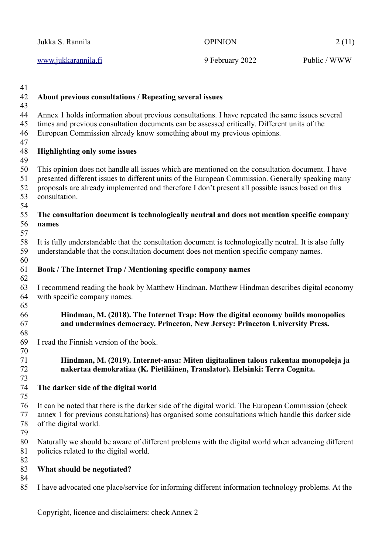| Jukka S. Rannila           | <b>OPINION</b>  | 2(11)        |
|----------------------------|-----------------|--------------|
| <u>www.jukkarannila.fi</u> | 9 February 2022 | Public / WWW |

- **About previous consultations / Repeating several issues** Annex 1 holds information about previous consultations. I have repeated the same issues several times and previous consultation documents can be assessed critically. Different units of the European Commission already know something about my previous opinions. **Highlighting only some issues** This opinion does not handle all issues which are mentioned on the consultation document. I have presented different issues to different units of the European Commission. Generally speaking many proposals are already implemented and therefore I don't present all possible issues based on this consultation. **The consultation document is technologically neutral and does not mention specific company names** It is fully understandable that the consultation document is technologically neutral. It is also fully understandable that the consultation document does not mention specific company names. **Book / The Internet Trap / Mentioning specific company names** I recommend reading the book by Matthew Hindman. Matthew Hindman describes digital economy with specific company names. **Hindman, M. (2018). The Internet Trap: How the digital economy builds monopolies and undermines democracy. Princeton, New Jersey: Princeton University Press.** I read the Finnish version of the book. **Hindman, M. (2019). Internet-ansa: Miten digitaalinen talous rakentaa monopoleja ja nakertaa demokratiaa (K. Pietiläinen, Translator). Helsinki: Terra Cognita. The darker side of the digital world** It can be noted that there is the darker side of the digital world. The European Commission (check annex 1 for previous consultations) has organised some consultations which handle this darker side of the digital world. Naturally we should be aware of different problems with the digital world when advancing different policies related to the digital world. **What should be negotiated?** 41 42 43 44 45 46 47 48 49 50 51 52 53 54 55 56 57 58 59 60 61 62 63 64 65 66 67 68 69 70 71 72 73 74 75 76 77 78 79 80 81 82 83 84
- I have advocated one place/service for informing different information technology problems. At the 85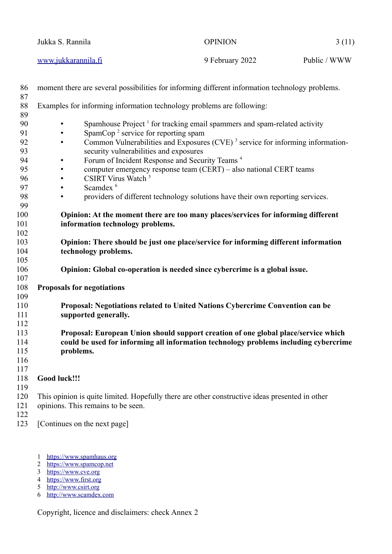| Jukka S. Rannila    | <b>OPINION</b>  | 3(11)        |
|---------------------|-----------------|--------------|
| www.jukkarannila.fi | 9 February 2022 | Public / WWW |

<span id="page-2-10"></span><span id="page-2-8"></span><span id="page-2-6"></span><span id="page-2-4"></span><span id="page-2-2"></span><span id="page-2-0"></span>

| 86<br>87   | moment there are several possibilities for informing different information technology problems.         |
|------------|---------------------------------------------------------------------------------------------------------|
| 88<br>89   | Examples for informing information technology problems are following:                                   |
| 90         | Spamhouse Project <sup>1</sup> for tracking email spammers and spam-related activity<br>$\bullet$       |
| 91         | SpamCop <sup>2</sup> service for reporting spam<br>٠                                                    |
| 92         | Common Vulnerabilities and Exposures (CVE) <sup>3</sup> service for informing information-<br>$\bullet$ |
| 93         | security vulnerabilities and exposures                                                                  |
| 94         | Forum of Incident Response and Security Teams <sup>4</sup><br>$\bullet$                                 |
| 95         | computer emergency response team (CERT) - also national CERT teams<br>$\bullet$                         |
| 96         | CSIRT Virus Watch <sup>5</sup><br>$\bullet$                                                             |
| 97         | Scamdex <sup>6</sup><br>$\bullet$                                                                       |
| 98         | providers of different technology solutions have their own reporting services.<br>$\bullet$             |
| 99         |                                                                                                         |
| 100        | Opinion: At the moment there are too many places/services for informing different                       |
| 101        | information technology problems.                                                                        |
| 102        |                                                                                                         |
| 103        | Opinion: There should be just one place/service for informing different information                     |
| 104        | technology problems.                                                                                    |
| 105        |                                                                                                         |
| 106<br>107 | Opinion: Global co-operation is needed since cybercrime is a global issue.                              |
| 108        | <b>Proposals for negotiations</b>                                                                       |
| 109        |                                                                                                         |
| 110        | Proposal: Negotiations related to United Nations Cybercrime Convention can be                           |
| 111        | supported generally.                                                                                    |
| 112        |                                                                                                         |
| 113        | Proposal: European Union should support creation of one global place/service which                      |
| 114        | could be used for informing all information technology problems including cybercrime                    |
| 115        | problems.                                                                                               |
| 116        |                                                                                                         |
| 117        |                                                                                                         |
| 118        | Good luck!!!                                                                                            |
| 119        |                                                                                                         |
| 120        | This opinion is quite limited. Hopefully there are other constructive ideas presented in other          |
| 121        | opinions. This remains to be seen.                                                                      |
| 122        |                                                                                                         |
| 123        | [Continues on the next page]                                                                            |
|            |                                                                                                         |

- <span id="page-2-1"></span>[1](#page-2-0) [https://www.spamhaus.org](https://www.spamhaus.org/)
- <span id="page-2-3"></span>[2](#page-2-2) [https://www.spamcop.net](https://www.spamcop.net/)
- <span id="page-2-5"></span>[3](#page-2-4) [https://www.cve.org](https://www.cve.org/)
- <span id="page-2-7"></span>[4](#page-2-6) [https://www.first.org](https://www.first.org/)
- <span id="page-2-9"></span>[5](#page-2-8) [http://www.csirt.org](http://www.csirt.org/)
- <span id="page-2-11"></span>[6](#page-2-10) [http://www.scamdex.com](http://www.scamdex.com/)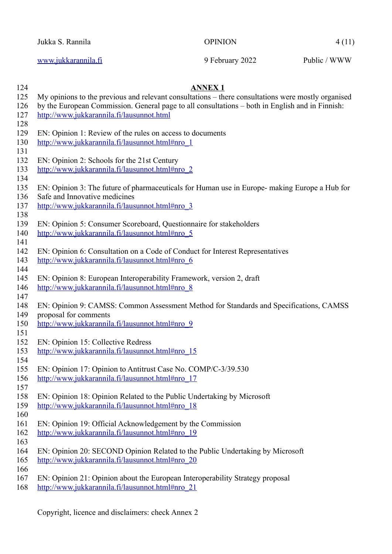Jukka S. Rannila **OPINION** 4 (11)

**ANNEX 1**

[www.jukkarannila.fi](http://www.jukkarannila.fi/) 9 February 2022 Public / WWW

My opinions to the previous and relevant consultations – there consultations were mostly organised by the European Commission. General page to all consultations – both in English and in Finnish: <http://www.jukkarannila.fi/lausunnot.html> EN: Opinion 1: Review of the rules on access to documents [http://www.jukkarannila.fi/lausunnot.html#nro\\_1](http://www.jukkarannila.fi/lausunnot.html#nro_1) EN: Opinion 2: Schools for the 21st Century [http://www.jukkarannila.fi/lausunnot.html#nro\\_2](http://www.jukkarannila.fi/lausunnot.html#nro_2) EN: Opinion 3: The future of pharmaceuticals for Human use in Europe- making Europe a Hub for Safe and Innovative medicines [http://www.jukkarannila.fi/lausunnot.html#nro\\_3](http://www.jukkarannila.fi/lausunnot.html#nro_3) EN: Opinion 5: Consumer Scoreboard, Questionnaire for stakeholders [http://www.jukkarannila.fi/lausunnot.html#nro\\_5](http://www.jukkarannila.fi/lausunnot.html#nro_5) EN: Opinion 6: Consultation on a Code of Conduct for Interest Representatives [http://www.jukkarannila.fi/lausunnot.html#nro\\_6](http://www.jukkarannila.fi/lausunnot.html#nro_6) EN: Opinion 8: European Interoperability Framework, version 2, draft [http://www.jukkarannila.fi/lausunnot.html#nro\\_8](http://www.jukkarannila.fi/lausunnot.html#nro_8) EN: Opinion 9: CAMSS: Common Assessment Method for Standards and Specifications, CAMSS proposal for comments [http://www.jukkarannila.fi/lausunnot.html#nro\\_9](http://www.jukkarannila.fi/lausunnot.html#nro_9) EN: Opinion 15: Collective Redress [http://www.jukkarannila.fi/lausunnot.html#nro\\_15](http://www.jukkarannila.fi/lausunnot.html#nro_15) EN: Opinion 17: Opinion to Antitrust Case No. COMP/C-3/39.530 [http://www.jukkarannila.fi/lausunnot.html#nro\\_17](http://www.jukkarannila.fi/lausunnot.html#nro_17) EN: Opinion 18: Opinion Related to the Public Undertaking by Microsoft [http://www.jukkarannila.fi/lausunnot.html#nro\\_18](http://www.jukkarannila.fi/lausunnot.html#nro_18) EN: Opinion 19: Official Acknowledgement by the Commission [http://www.jukkarannila.fi/lausunnot.html#nro\\_19](http://www.jukkarannila.fi/lausunnot.html#nro_19) EN: Opinion 20: SECOND Opinion Related to the Public Undertaking by Microsoft [http://www.jukkarannila.fi/lausunnot.html#nro\\_20](http://www.jukkarannila.fi/lausunnot.html#nro_20) EN: Opinion 21: Opinion about the European Interoperability Strategy proposal

[http://www.jukkarannila.fi/lausunnot.html#nro\\_21](http://www.jukkarannila.fi/lausunnot.html#nro_21) 168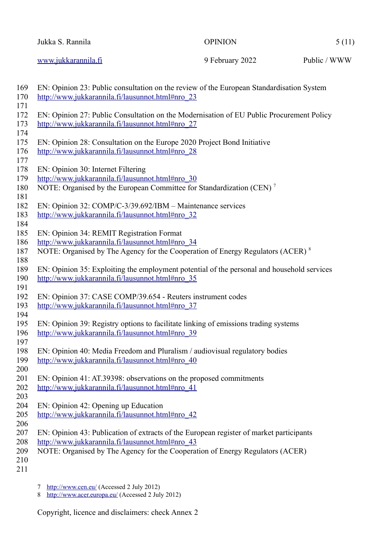| Jukka S. Rannila    | OPINION         | 5(11)        |
|---------------------|-----------------|--------------|
| www.jukkarannila.fi | 9 February 2022 | Public / WWW |

<span id="page-4-2"></span><span id="page-4-0"></span>

| 169<br>170 | EN: Opinion 23: Public consultation on the review of the European Standardisation System<br>http://www.jukkarannila.fi/lausunnot.html#nro 23 |
|------------|----------------------------------------------------------------------------------------------------------------------------------------------|
| 171        |                                                                                                                                              |
| 172        | EN: Opinion 27: Public Consultation on the Modernisation of EU Public Procurement Policy                                                     |
| 173        | http://www.jukkarannila.fi/lausunnot.html#nro 27                                                                                             |
| 174<br>175 |                                                                                                                                              |
| 176        | EN: Opinion 28: Consultation on the Europe 2020 Project Bond Initiative<br>http://www.jukkarannila.fi/lausunnot.html#nro 28                  |
| 177        |                                                                                                                                              |
| 178        | EN: Opinion 30: Internet Filtering                                                                                                           |
| 179        | http://www.jukkarannila.fi/lausunnot.html#nro 30                                                                                             |
| 180        | NOTE: Organised by the European Committee for Standardization (CEN) <sup>7</sup>                                                             |
| 181        |                                                                                                                                              |
| 182        | EN: Opinion 32: COMP/C-3/39.692/IBM – Maintenance services                                                                                   |
| 183        | http://www.jukkarannila.fi/lausunnot.html#nro_32                                                                                             |
| 184        |                                                                                                                                              |
| 185        | EN: Opinion 34: REMIT Registration Format                                                                                                    |
| 186        | http://www.jukkarannila.fi/lausunnot.html#nro 34                                                                                             |
| 187        | NOTE: Organised by The Agency for the Cooperation of Energy Regulators (ACER) <sup>8</sup>                                                   |
| 188<br>189 | EN: Opinion 35: Exploiting the employment potential of the personal and household services                                                   |
| 190        | http://www.jukkarannila.fi/lausunnot.html#nro 35                                                                                             |
| 191        |                                                                                                                                              |
| 192        | EN: Opinion 37: CASE COMP/39.654 - Reuters instrument codes                                                                                  |
| 193        | http://www.jukkarannila.fi/lausunnot.html#nro_37                                                                                             |
| 194        |                                                                                                                                              |
| 195        | EN: Opinion 39: Registry options to facilitate linking of emissions trading systems                                                          |
| 196        | http://www.jukkarannila.fi/lausunnot.html#nro_39                                                                                             |
| 197        |                                                                                                                                              |
| 198        | EN: Opinion 40: Media Freedom and Pluralism / audiovisual regulatory bodies                                                                  |
| 199        | http://www.jukkarannila.fi/lausunnot.html#nro 40                                                                                             |
| 200        |                                                                                                                                              |
| 201<br>202 | EN: Opinion 41: AT.39398: observations on the proposed commitments                                                                           |
| 203        | http://www.jukkarannila.fi/lausunnot.html#nro 41                                                                                             |
| 204        | EN: Opinion 42: Opening up Education                                                                                                         |
| 205        | http://www.jukkarannila.fi/lausunnot.html#nro_42                                                                                             |
| 206        |                                                                                                                                              |
| 207        | EN: Opinion 43: Publication of extracts of the European register of market participants                                                      |
| 208        | http://www.jukkarannila.fi/lausunnot.html#nro 43                                                                                             |
| 209        | NOTE: Organised by The Agency for the Cooperation of Energy Regulators (ACER)                                                                |
| 210        |                                                                                                                                              |
| 211        |                                                                                                                                              |
|            |                                                                                                                                              |

- <span id="page-4-1"></span>[7](#page-4-0)<http://www.cen.eu/> (Accessed 2 July 2012)
- <span id="page-4-3"></span>[8](#page-4-2) <http://www.acer.europa.eu/>(Accessed 2 July 2012)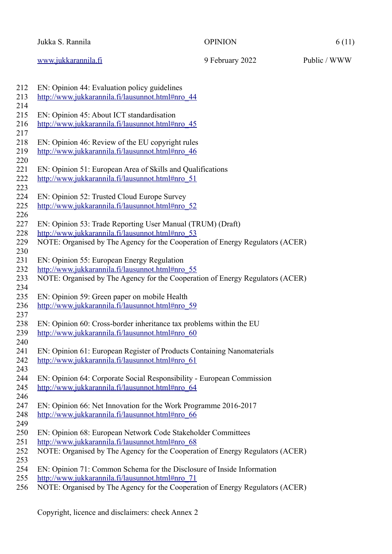## Jukka S. Rannila **OPINION** 6 (11)

[www.jukkarannila.fi](http://www.jukkarannila.fi/) 9 February 2022 Public / WWW

| 212 | EN: Opinion 44: Evaluation policy guidelines                                  |
|-----|-------------------------------------------------------------------------------|
| 213 | http://www.jukkarannila.fi/lausunnot.html#nro 44                              |
| 214 |                                                                               |
| 215 | EN: Opinion 45: About ICT standardisation                                     |
| 216 | http://www.jukkarannila.fi/lausunnot.html#nro 45                              |
| 217 |                                                                               |
| 218 | EN: Opinion 46: Review of the EU copyright rules                              |
| 219 | http://www.jukkarannila.fi/lausunnot.html#nro 46                              |
| 220 |                                                                               |
| 221 | EN: Opinion 51: European Area of Skills and Qualifications                    |
| 222 | http://www.jukkarannila.fi/lausunnot.html#nro 51                              |
| 223 |                                                                               |
| 224 | EN: Opinion 52: Trusted Cloud Europe Survey                                   |
| 225 | http://www.jukkarannila.fi/lausunnot.html#nro_52                              |
| 226 |                                                                               |
| 227 | EN: Opinion 53: Trade Reporting User Manual (TRUM) (Draft)                    |
| 228 | http://www.jukkarannila.fi/lausunnot.html#nro 53                              |
| 229 | NOTE: Organised by The Agency for the Cooperation of Energy Regulators (ACER) |
| 230 |                                                                               |
| 231 | EN: Opinion 55: European Energy Regulation                                    |
| 232 | http://www.jukkarannila.fi/lausunnot.html#nro 55                              |
| 233 | NOTE: Organised by The Agency for the Cooperation of Energy Regulators (ACER) |
| 234 |                                                                               |
| 235 | EN: Opinion 59: Green paper on mobile Health                                  |
| 236 | http://www.jukkarannila.fi/lausunnot.html#nro 59                              |
| 237 |                                                                               |
| 238 | EN: Opinion 60: Cross-border inheritance tax problems within the EU           |
| 239 | http://www.jukkarannila.fi/lausunnot.html#nro 60                              |
| 240 |                                                                               |
| 241 | EN: Opinion 61: European Register of Products Containing Nanomaterials        |
| 242 | http://www.jukkarannila.fi/lausunnot.html#nro 61                              |
| 243 |                                                                               |
| 244 | EN: Opinion 64: Corporate Social Responsibility - European Commission         |
| 245 | http://www.jukkarannila.fi/lausunnot.html#nro 64                              |
| 246 |                                                                               |
| 247 | EN: Opinion 66: Net Innovation for the Work Programme 2016-2017               |
| 248 | http://www.jukkarannila.fi/lausunnot.html#nro 66                              |
| 249 |                                                                               |
| 250 | EN: Opinion 68: European Network Code Stakeholder Committees                  |
| 251 | http://www.jukkarannila.fi/lausunnot.html#nro 68                              |
| 252 | NOTE: Organised by The Agency for the Cooperation of Energy Regulators (ACER) |
| 253 |                                                                               |
| 254 | EN: Opinion 71: Common Schema for the Disclosure of Inside Information        |
| 255 | http://www.jukkarannila.fi/lausunnot.html#nro 71                              |
| 256 | NOTE: Organised by The Agency for the Cooperation of Energy Regulators (ACER) |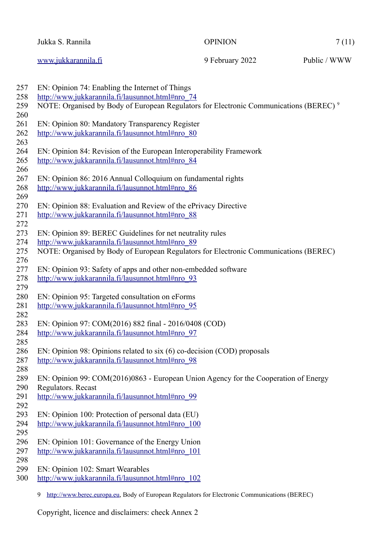<span id="page-6-0"></span>

| Jukka S. Rannila    | <b>OPINION</b>  | 7(11)        |
|---------------------|-----------------|--------------|
| www.jukkarannila.fi | 9 February 2022 | Public / WWW |

<span id="page-6-1"></span>

| 257 | EN: Opinion 74: Enabling the Internet of Things                                                    |
|-----|----------------------------------------------------------------------------------------------------|
| 258 | http://www.jukkarannila.fi/lausunnot.html#nro 74                                                   |
| 259 | NOTE: Organised by Body of European Regulators for Electronic Communications (BEREC) <sup>9</sup>  |
| 260 |                                                                                                    |
| 261 | EN: Opinion 80: Mandatory Transparency Register                                                    |
| 262 | http://www.jukkarannila.fi/lausunnot.html#nro_80                                                   |
| 263 |                                                                                                    |
| 264 | EN: Opinion 84: Revision of the European Interoperability Framework                                |
| 265 | http://www.jukkarannila.fi/lausunnot.html#nro 84                                                   |
| 266 |                                                                                                    |
| 267 | EN: Opinion 86: 2016 Annual Colloquium on fundamental rights                                       |
| 268 | http://www.jukkarannila.fi/lausunnot.html#nro_86                                                   |
| 269 |                                                                                                    |
| 270 | EN: Opinion 88: Evaluation and Review of the ePrivacy Directive                                    |
| 271 | http://www.jukkarannila.fi/lausunnot.html#nro 88                                                   |
| 272 |                                                                                                    |
| 273 | EN: Opinion 89: BEREC Guidelines for net neutrality rules                                          |
| 274 | http://www.jukkarannila.fi/lausunnot.html#nro 89                                                   |
| 275 | NOTE: Organised by Body of European Regulators for Electronic Communications (BEREC)               |
| 276 |                                                                                                    |
| 277 | EN: Opinion 93: Safety of apps and other non-embedded software                                     |
| 278 | http://www.jukkarannila.fi/lausunnot.html#nro 93                                                   |
| 279 |                                                                                                    |
| 280 | EN: Opinion 95: Targeted consultation on eForms                                                    |
| 281 | http://www.jukkarannila.fi/lausunnot.html#nro 95                                                   |
| 282 |                                                                                                    |
| 283 | EN: Opinion 97: COM(2016) 882 final - 2016/0408 (COD)                                              |
| 284 | http://www.jukkarannila.fi/lausunnot.html#nro_97                                                   |
| 285 |                                                                                                    |
| 286 | EN: Opinion 98: Opinions related to six (6) co-decision (COD) proposals                            |
| 287 | http://www.jukkarannila.fi/lausunnot.html#nro 98                                                   |
| 288 |                                                                                                    |
| 289 | EN: Opinion 99: COM(2016)0863 - European Union Agency for the Cooperation of Energy                |
| 290 | Regulators. Recast                                                                                 |
| 291 | http://www.jukkarannila.fi/lausunnot.html#nro 99                                                   |
| 292 |                                                                                                    |
| 293 | EN: Opinion 100: Protection of personal data (EU)                                                  |
| 294 | http://www.jukkarannila.fi/lausunnot.html#nro_100                                                  |
| 295 |                                                                                                    |
| 296 | EN: Opinion 101: Governance of the Energy Union                                                    |
| 297 | http://www.jukkarannila.fi/lausunnot.html#nro 101                                                  |
| 298 |                                                                                                    |
| 299 | EN: Opinion 102: Smart Wearables                                                                   |
| 300 | http://www.jukkarannila.fi/lausunnot.html#nro 102                                                  |
|     |                                                                                                    |
|     | http://www.berec.europa.eu, Body of European Regulators for Electronic Communications (BEREC)<br>9 |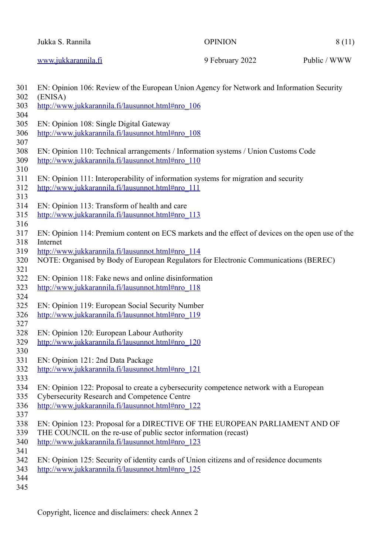| Jukka S. Rannila    | OPINION         | 8(11)        |
|---------------------|-----------------|--------------|
| www.jukkarannila.fi | 9 February 2022 | Public / WWW |

| 301 | EN: Opinion 106: Review of the European Union Agency for Network and Information Security        |
|-----|--------------------------------------------------------------------------------------------------|
| 302 | (ENISA)                                                                                          |
| 303 | http://www.jukkarannila.fi/lausunnot.html#nro 106                                                |
| 304 |                                                                                                  |
| 305 | EN: Opinion 108: Single Digital Gateway                                                          |
| 306 | http://www.jukkarannila.fi/lausunnot.html#nro 108                                                |
| 307 |                                                                                                  |
| 308 | EN: Opinion 110: Technical arrangements / Information systems / Union Customs Code               |
| 309 | http://www.jukkarannila.fi/lausunnot.html#nro 110                                                |
| 310 |                                                                                                  |
| 311 | EN: Opinion 111: Interoperability of information systems for migration and security              |
| 312 | http://www.jukkarannila.fi/lausunnot.html#nro 111                                                |
| 313 |                                                                                                  |
| 314 | EN: Opinion 113: Transform of health and care                                                    |
| 315 | http://www.jukkarannila.fi/lausunnot.html#nro 113                                                |
| 316 |                                                                                                  |
| 317 | EN: Opinion 114: Premium content on ECS markets and the effect of devices on the open use of the |
| 318 | Internet                                                                                         |
| 319 | http://www.jukkarannila.fi/lausunnot.html#nro 114                                                |
| 320 | NOTE: Organised by Body of European Regulators for Electronic Communications (BEREC)             |
| 321 |                                                                                                  |
| 322 | EN: Opinion 118: Fake news and online disinformation                                             |
| 323 | http://www.jukkarannila.fi/lausunnot.html#nro 118                                                |
| 324 |                                                                                                  |
| 325 | EN: Opinion 119: European Social Security Number                                                 |
| 326 | http://www.jukkarannila.fi/lausunnot.html#nro 119                                                |
| 327 |                                                                                                  |
| 328 | EN: Opinion 120: European Labour Authority                                                       |
| 329 | http://www.jukkarannila.fi/lausunnot.html#nro_120                                                |
| 330 |                                                                                                  |
| 331 | EN: Opinion 121: 2nd Data Package                                                                |
|     |                                                                                                  |
| 332 | http://www.jukkarannila.fi/lausunnot.html#nro 121                                                |
| 333 |                                                                                                  |
| 334 | EN: Opinion 122: Proposal to create a cybersecurity competence network with a European           |
| 335 | <b>Cybersecurity Research and Competence Centre</b>                                              |
| 336 | http://www.jukkarannila.fi/lausunnot.html#nro 122                                                |
| 337 |                                                                                                  |
| 338 | EN: Opinion 123: Proposal for a DIRECTIVE OF THE EUROPEAN PARLIAMENT AND OF                      |
| 339 | THE COUNCIL on the re-use of public sector information (recast)                                  |
| 340 | http://www.jukkarannila.fi/lausunnot.html#nro 123                                                |
| 341 |                                                                                                  |
| 342 | EN: Opinion 125: Security of identity cards of Union citizens and of residence documents         |
| 343 | http://www.jukkarannila.fi/lausunnot.html#nro 125                                                |
| 344 |                                                                                                  |
| 345 |                                                                                                  |
|     |                                                                                                  |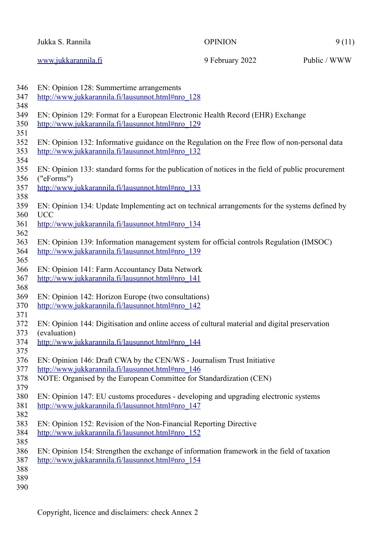| Jukka S. Rannila    | <b>OPINION</b>  | 9(11)        |
|---------------------|-----------------|--------------|
| www.jukkarannila.fi | 9 February 2022 | Public / WWW |

| 346 | EN: Opinion 128: Summertime arrangements                                                          |
|-----|---------------------------------------------------------------------------------------------------|
| 347 | http://www.jukkarannila.fi/lausunnot.html#nro_128                                                 |
| 348 |                                                                                                   |
| 349 | EN: Opinion 129: Format for a European Electronic Health Record (EHR) Exchange                    |
| 350 | http://www.jukkarannila.fi/lausunnot.html#nro_129                                                 |
| 351 |                                                                                                   |
| 352 | EN: Opinion 132: Informative guidance on the Regulation on the Free flow of non-personal data     |
| 353 | http://www.jukkarannila.fi/lausunnot.html#nro 132                                                 |
| 354 |                                                                                                   |
| 355 | EN: Opinion 133: standard forms for the publication of notices in the field of public procurement |
| 356 | ("eForms")                                                                                        |
| 357 | http://www.jukkarannila.fi/lausunnot.html#nro 133                                                 |
| 358 |                                                                                                   |
| 359 | EN: Opinion 134: Update Implementing act on technical arrangements for the systems defined by     |
| 360 | <b>UCC</b>                                                                                        |
| 361 | http://www.jukkarannila.fi/lausunnot.html#nro 134                                                 |
| 362 |                                                                                                   |
| 363 | EN: Opinion 139: Information management system for official controls Regulation (IMSOC)           |
| 364 | http://www.jukkarannila.fi/lausunnot.html#nro 139                                                 |
| 365 |                                                                                                   |
| 366 | EN: Opinion 141: Farm Accountancy Data Network                                                    |
| 367 | http://www.jukkarannila.fi/lausunnot.html#nro_141                                                 |
| 368 |                                                                                                   |
| 369 | EN: Opinion 142: Horizon Europe (two consultations)                                               |
| 370 | http://www.jukkarannila.fi/lausunnot.html#nro_142                                                 |
| 371 |                                                                                                   |
| 372 | EN: Opinion 144: Digitisation and online access of cultural material and digital preservation     |
| 373 | (evaluation)                                                                                      |
| 374 | http://www.jukkarannila.fi/lausunnot.html#nro 144                                                 |
| 375 |                                                                                                   |
| 376 | EN: Opinion 146: Draft CWA by the CEN/WS - Journalism Trust Initiative                            |
| 377 | http://www.jukkarannila.fi/lausunnot.html#nro 146                                                 |
| 378 | NOTE: Organised by the European Committee for Standardization (CEN)                               |
| 379 |                                                                                                   |
| 380 | EN: Opinion 147: EU customs procedures - developing and upgrading electronic systems              |
| 381 | http://www.jukkarannila.fi/lausunnot.html#nro 147                                                 |
| 382 |                                                                                                   |
| 383 | EN: Opinion 152: Revision of the Non-Financial Reporting Directive                                |
| 384 | http://www.jukkarannila.fi/lausunnot.html#nro 152                                                 |
| 385 |                                                                                                   |
| 386 | EN: Opinion 154: Strengthen the exchange of information framework in the field of taxation        |
| 387 | http://www.jukkarannila.fi/lausunnot.html#nro 154                                                 |
| 388 |                                                                                                   |
| 389 |                                                                                                   |
| 390 |                                                                                                   |
|     |                                                                                                   |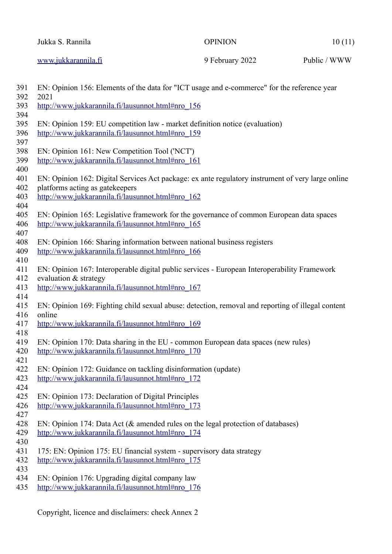| Jukka S. Rannila    | OPINION         | 10(11)       |
|---------------------|-----------------|--------------|
| www.jukkarannila.fi | 9 February 2022 | Public / WWW |

| 391<br>392 | EN: Opinion 156: Elements of the data for "ICT usage and e-commerce" for the reference year<br>2021                                           |
|------------|-----------------------------------------------------------------------------------------------------------------------------------------------|
| 393        | http://www.jukkarannila.fi/lausunnot.html#nro 156                                                                                             |
| 394<br>395 | EN: Opinion 159: EU competition law - market definition notice (evaluation)                                                                   |
| 396        | http://www.jukkarannila.fi/lausunnot.html#nro 159                                                                                             |
| 397        |                                                                                                                                               |
| 398        | EN: Opinion 161: New Competition Tool ('NCT')                                                                                                 |
| 399        | http://www.jukkarannila.fi/lausunnot.html#nro_161                                                                                             |
| 400        |                                                                                                                                               |
| 401        | EN: Opinion 162: Digital Services Act package: ex ante regulatory instrument of very large online                                             |
| 402        | platforms acting as gatekeepers                                                                                                               |
| 403        | http://www.jukkarannila.fi/lausunnot.html#nro 162                                                                                             |
| 404<br>405 |                                                                                                                                               |
| 406        | EN: Opinion 165: Legislative framework for the governance of common European data spaces<br>http://www.jukkarannila.fi/lausunnot.html#nro 165 |
| 407        |                                                                                                                                               |
| 408        | EN: Opinion 166: Sharing information between national business registers                                                                      |
| 409        | http://www.jukkarannila.fi/lausunnot.html#nro 166                                                                                             |
| 410        |                                                                                                                                               |
| 411        | EN: Opinion 167: Interoperable digital public services - European Interoperability Framework                                                  |
| 412        | evaluation & strategy                                                                                                                         |
| 413        | http://www.jukkarannila.fi/lausunnot.html#nro 167                                                                                             |
| 414        |                                                                                                                                               |
| 415        | EN: Opinion 169: Fighting child sexual abuse: detection, removal and reporting of illegal content                                             |
| 416        | online                                                                                                                                        |
| 417        | http://www.jukkarannila.fi/lausunnot.html#nro 169                                                                                             |
| 418        |                                                                                                                                               |
| 419<br>420 | EN: Opinion 170: Data sharing in the EU - common European data spaces (new rules)<br>http://www.jukkarannila.fi/lausunnot.html#nro 170        |
| 421        |                                                                                                                                               |
| 422        | EN: Opinion 172: Guidance on tackling disinformation (update)                                                                                 |
| 423        | http://www.jukkarannila.fi/lausunnot.html#nro_172                                                                                             |
| 424        |                                                                                                                                               |
| 425        | EN: Opinion 173: Declaration of Digital Principles                                                                                            |
| 426        | http://www.jukkarannila.fi/lausunnot.html#nro 173                                                                                             |
| 427        |                                                                                                                                               |
| 428        | EN: Opinion 174: Data Act (& amended rules on the legal protection of databases)                                                              |
| 429        | http://www.jukkarannila.fi/lausunnot.html#nro_174                                                                                             |
| 430        |                                                                                                                                               |
| 431        | 175: EN: Opinion 175: EU financial system - supervisory data strategy                                                                         |
| 432<br>433 | http://www.jukkarannila.fi/lausunnot.html#nro_175                                                                                             |
| 434        | EN: Opinion 176: Upgrading digital company law                                                                                                |
| 435        | http://www.jukkarannila.fi/lausunnot.html#nro_176                                                                                             |
|            |                                                                                                                                               |